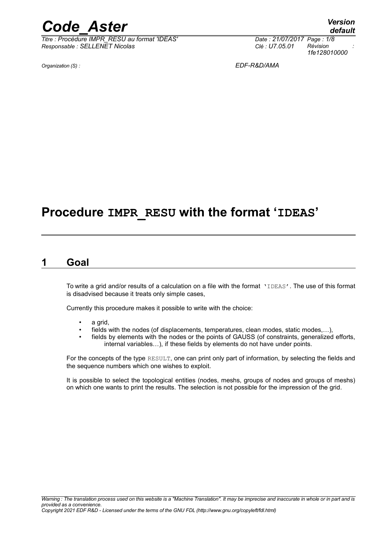*Titre : Procédure IMPR\_RESU au format 'IDEAS' Date : 21/07/2017 Page : 1/8 Responsable : SELLENET Nicolas Clé : U7.05.01 Révision :*

*default 1fe128010000*

*Organization (S) : EDF-R&D/AMA*

## **Procedure IMPR\_RESU with the format 'IDEAS'**

### **1 Goal**

To write a grid and/or results of a calculation on a file with the format 'IDEAS'. The use of this format is disadvised because it treats only simple cases,

Currently this procedure makes it possible to write with the choice:

- a grid,
- fields with the nodes (of displacements, temperatures, clean modes, static modes,...),
- fields by elements with the nodes or the points of GAUSS (of constraints, generalized efforts, internal variables…), if these fields by elements do not have under points.

For the concepts of the type RESULT, one can print only part of information, by selecting the fields and the sequence numbers which one wishes to exploit.

It is possible to select the topological entities (nodes, meshs, groups of nodes and groups of meshs) on which one wants to print the results. The selection is not possible for the impression of the grid.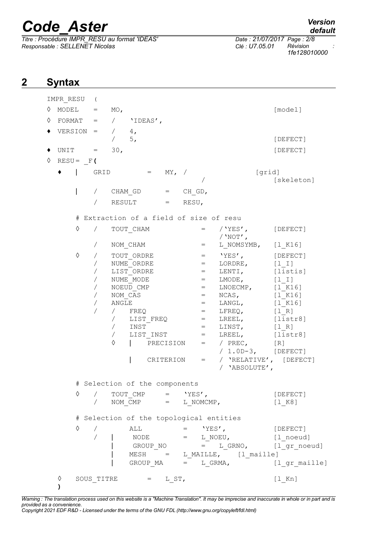*Titre : Procédure IMPR\_RESU au format 'IDEAS' Date : 21/07/2017 Page : 2/8 Responsable : SELLENET Nicolas Clé : U7.05.01 Révision :*

*1fe128010000*

## **2 Syntax**

|        | IMPR RESU                     | $\left($     |                    |                                                                                                                                 |           |     |            |              |                                         |                                                                                |  |
|--------|-------------------------------|--------------|--------------------|---------------------------------------------------------------------------------------------------------------------------------|-----------|-----|------------|--------------|-----------------------------------------|--------------------------------------------------------------------------------|--|
| ♦      | $MODEL =$                     |              | $MO$ ,             |                                                                                                                                 |           |     |            |              |                                         | [model]                                                                        |  |
| ♦      | FORMAT =                      |              |                    | $/$ 'IDEAS',                                                                                                                    |           |     |            |              |                                         |                                                                                |  |
|        | VERSION                       | $=$ $-$      | / 4,<br>$\sqrt{2}$ | 5,                                                                                                                              |           |     |            |              |                                         | [DEFECT]                                                                       |  |
|        | UNIT                          | $=$ $\qquad$ | 30 <sub>1</sub>    |                                                                                                                                 |           |     |            |              |                                         | [DEFECT]                                                                       |  |
| ♦      | $RESU = F($                   |              |                    |                                                                                                                                 |           |     |            |              |                                         |                                                                                |  |
|        |                               | GRID         |                    |                                                                                                                                 | $=$ MY, / |     |            |              |                                         | [grid]<br>[skeleton]                                                           |  |
|        |                               | $\sqrt{2}$   |                    | CHAM GD                                                                                                                         |           |     | $=$ CH GD, |              |                                         |                                                                                |  |
|        |                               |              |                    | RESULT                                                                                                                          |           | $=$ | RESU,      |              |                                         |                                                                                |  |
|        |                               |              |                    |                                                                                                                                 |           |     |            |              | # Extraction of a field of size of resu |                                                                                |  |
|        | ♦                             |              |                    | TOUT CHAM                                                                                                                       |           |     |            | $=$ $-$      | / $YES'$ ,                              | [DEFECT]                                                                       |  |
|        |                               |              |                    | NOM CHAM                                                                                                                        |           |     |            | $=$          | / $'$ NOT $'$ ,                         | L NOMSYMB, [1 K16]                                                             |  |
|        | ♦                             |              |                    | TOUT ORDRE                                                                                                                      |           |     |            | $=$          | $'YES'$ ,                               | [DEFECT]                                                                       |  |
|        |                               |              |                    | NUME ORDRE                                                                                                                      |           |     |            | $=$          | LORDRE, [1 I]                           |                                                                                |  |
|        |                               |              |                    | LIST ORDRE                                                                                                                      |           |     |            | $=$          | LENTI,                                  | [listis]                                                                       |  |
|        |                               |              |                    | NUME MODE                                                                                                                       |           |     |            | $=$          | LMODE,                                  | $[1 1]$                                                                        |  |
|        |                               |              |                    | NOEUD CMP                                                                                                                       |           |     |            | $=$          | LNOECMP,                                | [1 K16]                                                                        |  |
|        |                               |              | ANGLE              | NOM CAS                                                                                                                         |           |     |            | $=$<br>$=$   | NCAS,<br>LANGL,                         | [1 K16]<br>[1 K16]                                                             |  |
|        |                               |              |                    | / FREQ                                                                                                                          |           |     |            | $=$          | LFREQ,                                  | [1 R]                                                                          |  |
|        |                               |              |                    | LIST FREQ                                                                                                                       |           |     |            | $=$          | LREEL,                                  | [listr8]                                                                       |  |
|        |                               |              |                    | INST                                                                                                                            |           |     |            | $=$          | LINST,                                  | $[1 R]$                                                                        |  |
|        |                               |              |                    | LIST INST                                                                                                                       |           |     |            | $=$ $\qquad$ | LREEL,                                  | [listr8]                                                                       |  |
|        |                               |              | ♦                  |                                                                                                                                 |           |     | PRECISION  | $=$ $-$      | / $PREC,$ [R]                           |                                                                                |  |
|        |                               |              |                    |                                                                                                                                 |           |     |            |              |                                         | $/ 1.0D-3,$ [DEFECT]                                                           |  |
|        |                               |              |                    |                                                                                                                                 | CRITERION |     |            | $=$          | / 'ABSOLUTE',                           | / 'RELATIVE', [DEFECT]                                                         |  |
|        | # Selection of the components |              |                    |                                                                                                                                 |           |     |            |              |                                         |                                                                                |  |
|        | ♦                             |              |                    | $\begin{array}{cccc} / & \text{TOUT\_CMP} & = & \text{YES\text{'}}, \\ / & \text{NOM\_CMP} & = & \text{L\_NOMCMP,} \end{array}$ |           |     |            |              |                                         | [DEFECT]                                                                       |  |
|        |                               |              |                    |                                                                                                                                 |           |     |            |              |                                         | [1 K8]                                                                         |  |
|        |                               |              |                    |                                                                                                                                 |           |     |            |              | # Selection of the topological entities |                                                                                |  |
|        | ♦                             |              |                    |                                                                                                                                 |           |     |            |              |                                         | ALL $=$ 'YES', $[DEFECT]$                                                      |  |
|        |                               |              |                    |                                                                                                                                 |           |     |            |              |                                         | NODE $= L_NOEU,$ [l_noeud]                                                     |  |
|        |                               |              |                    |                                                                                                                                 |           |     |            |              |                                         |                                                                                |  |
|        |                               |              |                    |                                                                                                                                 |           |     |            |              |                                         | GROUP NO = $L_$ GRNO, $L_$ iveud)<br>MESH = $L_$ MAILLE, $[1_$ <u>maille</u> ] |  |
|        |                               |              |                    |                                                                                                                                 |           |     |            |              |                                         | GROUP MA = L GRMA, [l gr maille]                                               |  |
| ♦<br>) |                               |              |                    | $\texttt{SOUS\_TITER} \qquad = \qquad \texttt{L\_ST,}$                                                                          |           |     |            |              |                                         | $[1$ Kn]                                                                       |  |
|        |                               |              |                    |                                                                                                                                 |           |     |            |              |                                         |                                                                                |  |

*Warning : The translation process used on this website is a "Machine Translation". It may be imprecise and inaccurate in whole or in part and is provided as a convenience. Copyright 2021 EDF R&D - Licensed under the terms of the GNU FDL (http://www.gnu.org/copyleft/fdl.html)*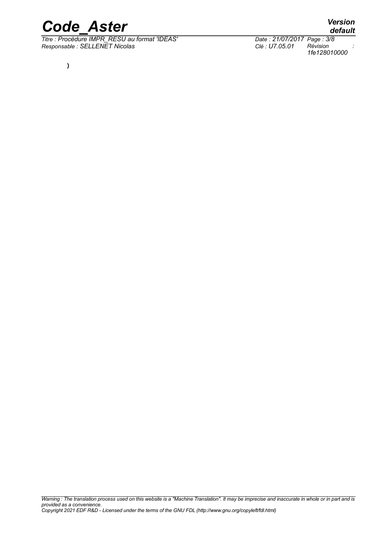

*Titre : Procédure IMPR\_RESU au format 'IDEAS' Date : 21/07/2017 Page : 3/8 Responsable : SELLENET Nicolas Clé : U7.05.01 Révision :*

*1fe128010000*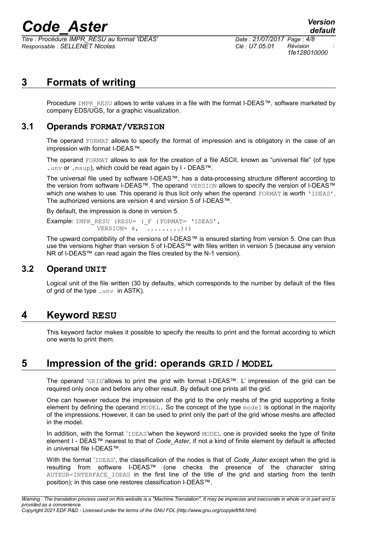$\overline{T}$ itre : *Procédure IMPR\_RESU au format 'IDEAS' Responsable : SELLENET Nicolas Clé : U7.05.01 Révision :*

*1fe128010000*

## **3 Formats of writing**

Procedure IMPR\_RESU allows to write values in a file with the format I-DEAS™, software marketed by company EDS/UGS, for a graphic visualization.

#### **3.1 Operands FORMAT/VERSION**

The operand FORMAT allows to specify the format of impression and is obligatory in the case of an impression with format I-DEAS™.

The operand FORMAT allows to ask for the creation of a file ASCII, known as "universal file" (of type .unv or .msup), which could be read again by I - DEAS™.

The universal file used by software I-DEAS™, has a data-processing structure different according to the version from software I-DEAS™. The operand VERSION allows to specify the version of I-DEAS™ which one wishes to use. This operand is thus licit only when the operand FORMAT is worth 'IDEAS'. The authorized versions are version 4 and version 5 of I-DEAS™.

By default, the impression is done in version 5.

Example: IMPR\_RESU (RESU= ( F (FORMAT= 'IDEAS', VERSION=  $4, \ldots, \ldots)$ )

The upward compatibility of the versions of I-DEAS™ is ensured starting from version 5. One can thus use the versions higher than version 5 of I-DEAS™ with files written in version 5 (because any version NR of I-DEAS™ can read again the files created by the N-1 version).

#### **3.2 Operand UNIT**

Logical unit of the file written (30 by defaults, which corresponds to the number by default of the files of grid of the type  $. \text{unv}$  in ASTK).

## **4 Keyword RESU**

This keyword factor makes it possible to specify the results to print and the format according to which one wants to print them.

## **5 Impression of the grid: operands GRID / MODEL**

The operand 'GRID'allows to print the grid with format I-DEAS™. L' impression of the grid can be required only once and before any other result. By default one prints all the grid.

One can however reduce the impression of the grid to the only meshs of the grid supporting a finite element by defining the operand MODEL. So the concept of the type model is optional in the majority of the impressions. However, it can be used to print only the part of the grid whose meshs are affected in the model.

In addition, with the format 'IDEAS'when the keyword MODEL one is provided seeks the type of finite element I - DEAS™ nearest to that of *Code\_Aster*, if not a kind of finite element by default is affected in universal file I-DEAS™.

With the format 'IDEAS', the classification of the nodes is that of *Code Aster* except when the grid is resulting from software I-DEAS™ (one checks the presence of the character string AUTEUR=INTERFACE\_IDEAS in the first line of the title of the grid and starting from the tenth position); in this case one restores classification I-DEAS™.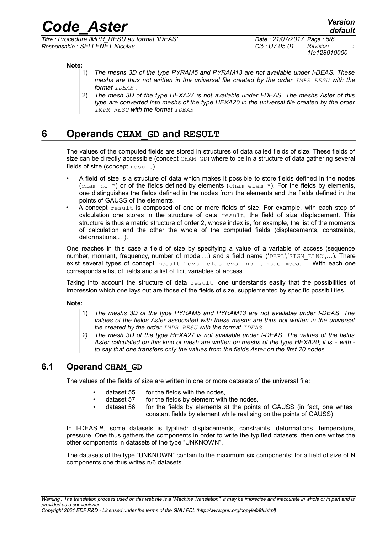*1fe128010000*

**Note:**

- 1) *The meshs 3D of the type PYRAM5 and PYRAM13 are not available under I-DEAS. These meshs are thus not written in the universal file created by the order IMPR RESU with the format IDEAS .*
	- 2) *The mesh 3D of the type HEXA27 is not available under I-DEAS. The meshs Aster of this type are converted into meshs of the type HEXA20 in the universal file created by the order IMPR\_RESU with the format IDEAS .*

## **6 Operands CHAM\_GD and RESULT**

The values of the computed fields are stored in structures of data called fields of size. These fields of size can be directly accessible (concept CHAM GD) where to be in a structure of data gathering several fields of size (concept result).

- A field of size is a structure of data which makes it possible to store fields defined in the nodes (cham no  $*$ ) or of the fields defined by elements (cham elem  $*$ ). For the fields by elements, one distinguishes the fields defined in the nodes from the elements and the fields defined in the points of GAUSS of the elements.
- A concept result is composed of one or more fields of size. For example, with each step of calculation one stores in the structure of data result, the field of size displacement. This structure is thus a matric structure of order 2, whose index is, for example, the list of the moments of calculation and the other the whole of the computed fields (displacements, constraints, deformations,…).

One reaches in this case a field of size by specifying a value of a variable of access (sequence number, moment, frequency, number of mode,...) and a field name ('DEPL','SIGM\_ELNO',...). There exist several types of concept result : evol elas, evol noli, mode meca,.... With each one corresponds a list of fields and a list of licit variables of access.

Taking into account the structure of data result, one understands easily that the possibilities of impression which one lays out are those of the fields of size, supplemented by specific possibilities.

#### **Note:**

- 1) *The meshs 3D of the type PYRAM5 and PYRAM13 are not available under I-DEAS. The values of the fields Aster associated with these meshs are thus not written in the universal file created by the order IMPR\_RESU with the format IDEAS .*
- *2) The mesh 3D of the type HEXA27 is not available under I-DEAS. The values of the fields Aster calculated on this kind of mesh are written on meshs of the type HEXA20; it is - with to say that one transfers only the values from the fields Aster on the first 20 nodes.*

#### **6.1 Operand CHAM GD**

The values of the fields of size are written in one or more datasets of the universal file:

- dataset 55 for the fields with the nodes.
- dataset 57 for the fields by element with the nodes,
- dataset 56 for the fields by elements at the points of GAUSS (in fact, one writes constant fields by element while realising on the points of GAUSS).

In I-DEAS™, some datasets is typified: displacements, constraints, deformations, temperature, pressure. One thus gathers the components in order to write the typified datasets, then one writes the other components in datasets of the type "UNKNOWN".

The datasets of the type "UNKNOWN" contain to the maximum six components; for a field of size of N components one thus writes n/6 datasets.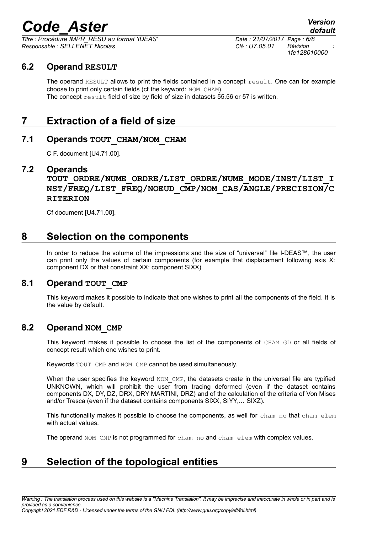*Titre : Procédure IMPR\_RESU au format 'IDEAS' Date : 21/07/2017 Page : 6/8 Responsable : SELLENET Nicolas Clé : U7.05.01 Révision :*

#### **6.2 Operand RESULT**

The operand RESULT allows to print the fields contained in a concept result. One can for example choose to print only certain fields (cf the keyword: NOM\_CHAM). The concept  $result$  field of size by field of size in datasets 55.56 or 57 is written.

## **7 Extraction of a field of size**

#### **7.1 Operands TOUT\_CHAM/NOM\_CHAM**

C F. document [U4.71.00].

#### **7.2 Operands**

**TOUT\_ORDRE/NUME\_ORDRE/LIST\_ORDRE/NUME\_MODE/INST/LIST\_I NST/FREQ/LIST\_FREQ/NOEUD\_CMP/NOM\_CAS/ANGLE/PRECISION/C RITERION**

Cf document [U4.71.00].

## **8 Selection on the components**

In order to reduce the volume of the impressions and the size of "universal" file I-DEAS™, the user can print only the values of certain components (for example that displacement following axis X: component DX or that constraint XX: component SIXX).

#### **8.1 Operand TOUT\_CMP**

This keyword makes it possible to indicate that one wishes to print all the components of the field. It is the value by default.

#### **8.2 Operand NOM\_CMP**

This keyword makes it possible to choose the list of the components of CHAM GD or all fields of concept result which one wishes to print.

Keywords TOUT CMP and NOM CMP cannot be used simultaneously.

When the user specifies the keyword NOM CMP, the datasets create in the universal file are typified UNKNOWN, which will prohibit the user from tracing deformed (even if the dataset contains components DX, DY, DZ, DRX, DRY MARTINI, DRZ) and of the calculation of the criteria of Von Mises and/or Tresca (even if the dataset contains components SIXX, SIYY,… SIXZ).

This functionality makes it possible to choose the components, as well for cham no that cham elem with actual values.

The operand NOM CMP is not programmed for cham no and cham elem with complex values.

## **9 Selection of the topological entities**

*Warning : The translation process used on this website is a "Machine Translation". It may be imprecise and inaccurate in whole or in part and is provided as a convenience. Copyright 2021 EDF R&D - Licensed under the terms of the GNU FDL (http://www.gnu.org/copyleft/fdl.html)*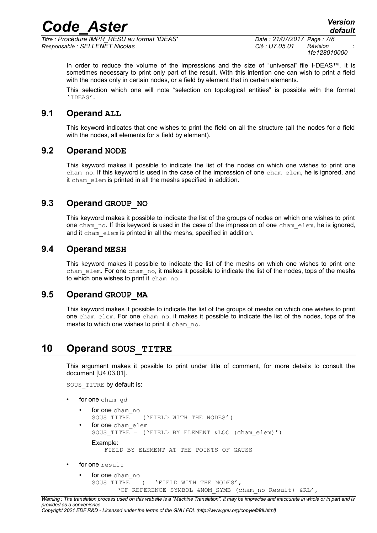*Titre : Procédure IMPR\_RESU au format 'IDEAS' Date : 21/07/2017 Page : 7/8 Responsable : SELLENET Nicolas Clé : U7.05.01 Révision :*

*1fe128010000*

In order to reduce the volume of the impressions and the size of "universal" file I-DEAS™, it is sometimes necessary to print only part of the result. With this intention one can wish to print a field with the nodes only in certain nodes, or a field by element that in certain elements.

This selection which one will note "selection on topological entities" is possible with the format 'IDEAS'.

#### **9.1 Operand ALL**

This keyword indicates that one wishes to print the field on all the structure (all the nodes for a field with the nodes, all elements for a field by element).

#### **9.2 Operand NODE**

This keyword makes it possible to indicate the list of the nodes on which one wishes to print one cham no. If this keyword is used in the case of the impression of one chamelem, he is ignored, and it cham elem is printed in all the meshs specified in addition.

#### **9.3 Operand GROUP NO**

This keyword makes it possible to indicate the list of the groups of nodes on which one wishes to print one cham no. If this keyword is used in the case of the impression of one cham elem, he is ignored, and it  $cham$  elem is printed in all the meshs, specified in addition.

#### **9.4 Operand MESH**

This keyword makes it possible to indicate the list of the meshs on which one wishes to print one cham elem. For one cham no, it makes it possible to indicate the list of the nodes, tops of the meshs to which one wishes to print it cham\_no.

#### **9.5 Operand GROUP\_MA**

This keyword makes it possible to indicate the list of the groups of meshs on which one wishes to print one cham elem. For one cham no, it makes it possible to indicate the list of the nodes, tops of the meshs to which one wishes to print it cham no.

### **10 Operand SOUS\_TITRE**

This argument makes it possible to print under title of comment, for more details to consult the document [U4.03.01].

SOUS TITRE by default is:

- for one cham\_gd
	- for one cham no SOUS TITRE = ('FIELD WITH THE NODES') for one cham\_elem SOUS TITRE = ('FIELD BY ELEMENT &LOC (cham elem)') Example: FIELD BY ELEMENT AT THE POINTS OF GAUSS
- for one result
	- for one cham no SOUS TITRE =  $($  'FIELD WITH THE NODES', 'OF REFERENCE SYMBOL &NOM\_SYMB (cham\_no Result) &RL',